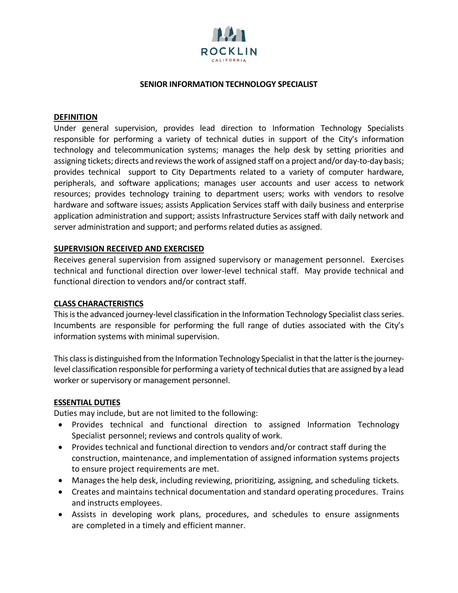

### **SENIOR INFORMATION TECHNOLOGY SPECIALIST**

### **DEFINITION**

Under general supervision, provides lead direction to Information Technology Specialists responsible for performing a variety of technical duties in support of the City's information technology and telecommunication systems; manages the help desk by setting priorities and assigning tickets; directs and reviews the work of assigned staff on a project and/or day‐to‐day basis; provides technical support to City Departments related to a variety of computer hardware, peripherals, and software applications; manages user accounts and user access to network resources; provides technology training to department users; works with vendors to resolve hardware and software issues; assists Application Services staff with daily business and enterprise application administration and support; assists Infrastructure Services staff with daily network and server administration and support; and performs related duties as assigned.

## **SUPERVISION RECEIVED AND EXERCISED**

Receives general supervision from assigned supervisory or management personnel. Exercises technical and functional direction over lower-level technical staff. May provide technical and functional direction to vendors and/or contract staff.

#### **CLASS CHARACTERISTICS**

This is the advanced journey-level classification in the Information Technology Specialist class series. Incumbents are responsible for performing the full range of duties associated with the City's information systems with minimal supervision.

This class is distinguished from the Information Technology Specialist in that the latter is the journeylevel classification responsible for performing a variety of technical duties that are assigned by a lead worker or supervisory or management personnel.

#### **ESSENTIAL DUTIES**

Duties may include, but are not limited to the following:

- Provides technical and functional direction to assigned Information Technology Specialist personnel; reviews and controls quality of work.
- Provides technical and functional direction to vendors and/or contract staff during the construction, maintenance, and implementation of assigned information systems projects to ensure project requirements are met.
- Manages the help desk, including reviewing, prioritizing, assigning, and scheduling tickets.
- Creates and maintains technical documentation and standard operating procedures. Trains and instructs employees.
- Assists in developing work plans, procedures, and schedules to ensure assignments are completed in a timely and efficient manner.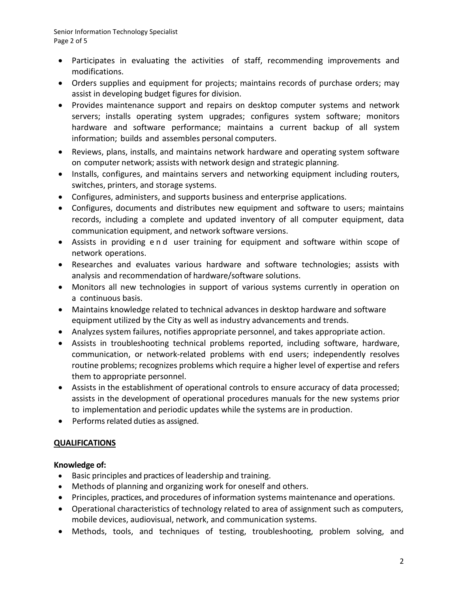- Participates in evaluating the activities of staff, recommending improvements and modifications.
- Orders supplies and equipment for projects; maintains records of purchase orders; may assist in developing budget figures for division.
- Provides maintenance support and repairs on desktop computer systems and network servers; installs operating system upgrades; configures system software; monitors hardware and software performance; maintains a current backup of all system information; builds and assembles personal computers.
- Reviews, plans, installs, and maintains network hardware and operating system software on computer network; assists with network design and strategic planning.
- Installs, configures, and maintains servers and networking equipment including routers, switches, printers, and storage systems.
- Configures, administers, and supports business and enterprise applications.
- Configures, documents and distributes new equipment and software to users; maintains records, including a complete and updated inventory of all computer equipment, data communication equipment, and network software versions.
- Assists in providing end user training for equipment and software within scope of network operations.
- Researches and evaluates various hardware and software technologies; assists with analysis and recommendation of hardware/software solutions.
- Monitors all new technologies in support of various systems currently in operation on a continuous basis.
- Maintains knowledge related to technical advances in desktop hardware and software equipment utilized by the City as well as industry advancements and trends.
- Analyzes system failures, notifies appropriate personnel, and takes appropriate action.
- Assists in troubleshooting technical problems reported, including software, hardware, communication, or network‐related problems with end users; independently resolves routine problems; recognizes problems which require a higher level of expertise and refers them to appropriate personnel.
- Assists in the establishment of operational controls to ensure accuracy of data processed; assists in the development of operational procedures manuals for the new systems prior to implementation and periodic updates while the systems are in production.
- Performs related duties as assigned.

# **QUALIFICATIONS**

## **Knowledge of:**

- Basic principles and practices of leadership and training.
- Methods of planning and organizing work for oneself and others.
- Principles, practices, and procedures of information systems maintenance and operations.
- Operational characteristics of technology related to area of assignment such as computers, mobile devices, audiovisual, network, and communication systems.
- Methods, tools, and techniques of testing, troubleshooting, problem solving, and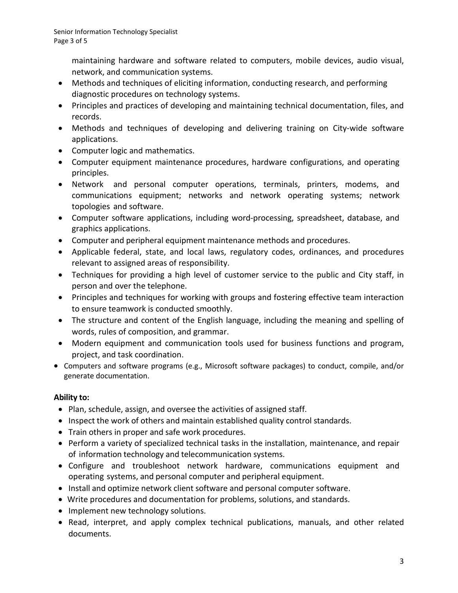maintaining hardware and software related to computers, mobile devices, audio visual, network, and communication systems.

- Methods and techniques of eliciting information, conducting research, and performing diagnostic procedures on technology systems.
- Principles and practices of developing and maintaining technical documentation, files, and records.
- Methods and techniques of developing and delivering training on City-wide software applications.
- Computer logic and mathematics.
- Computer equipment maintenance procedures, hardware configurations, and operating principles.
- Network and personal computer operations, terminals, printers, modems, and communications equipment; networks and network operating systems; network topologies and software.
- Computer software applications, including word‐processing, spreadsheet, database, and graphics applications.
- Computer and peripheral equipment maintenance methods and procedures.
- Applicable federal, state, and local laws, regulatory codes, ordinances, and procedures relevant to assigned areas of responsibility.
- Techniques for providing a high level of customer service to the public and City staff, in person and over the telephone.
- Principles and techniques for working with groups and fostering effective team interaction to ensure teamwork is conducted smoothly.
- The structure and content of the English language, including the meaning and spelling of words, rules of composition, and grammar.
- Modern equipment and communication tools used for business functions and program, project, and task coordination.
- Computers and software programs (e.g., Microsoft software packages) to conduct, compile, and/or generate documentation.

# **Ability to:**

- Plan, schedule, assign, and oversee the activities of assigned staff.
- Inspect the work of others and maintain established quality control standards.
- Train others in proper and safe work procedures.
- Perform a variety of specialized technical tasks in the installation, maintenance, and repair of information technology and telecommunication systems.
- Configure and troubleshoot network hardware, communications equipment and operating systems, and personal computer and peripheral equipment.
- Install and optimize network client software and personal computer software.
- Write procedures and documentation for problems, solutions, and standards.
- Implement new technology solutions.
- Read, interpret, and apply complex technical publications, manuals, and other related documents.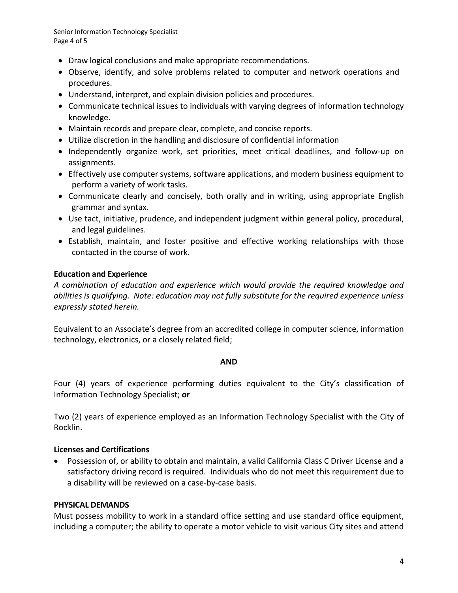Senior Information Technology Specialist Page 4 of 5

- Draw logical conclusions and make appropriate recommendations.
- Observe, identify, and solve problems related to computer and network operations and procedures.
- Understand, interpret, and explain division policies and procedures.
- Communicate technical issues to individuals with varying degrees of information technology knowledge.
- Maintain records and prepare clear, complete, and concise reports.
- Utilize discretion in the handling and disclosure of confidential information
- Independently organize work, set priorities, meet critical deadlines, and follow-up on assignments.
- Effectively use computer systems, software applications, and modern business equipment to perform a variety of work tasks.
- Communicate clearly and concisely, both orally and in writing, using appropriate English grammar and syntax.
- Use tact, initiative, prudence, and independent judgment within general policy, procedural, and legal guidelines.
- Establish, maintain, and foster positive and effective working relationships with those contacted in the course of work.

## **Education and Experience**

*A combination of education and experience which would provide the required knowledge and abilities is qualifying. Note: education may not fully substitute for the required experience unless expressly stated herein.*

Equivalent to an Associate's degree from an accredited college in computer science, information technology, electronics, or a closely related field;

## **AND**

Four (4) years of experience performing duties equivalent to the City's classification of Information Technology Specialist; **or**

Two (2) years of experience employed as an Information Technology Specialist with the City of Rocklin.

## **Licenses and Certifications**

• Possession of, or ability to obtain and maintain, a valid California Class C Driver License and a satisfactory driving record is required. Individuals who do not meet this requirement due to a disability will be reviewed on a case-by-case basis.

## **PHYSICAL DEMANDS**

Must possess mobility to work in a standard office setting and use standard office equipment, including a computer; the ability to operate a motor vehicle to visit various City sites and attend